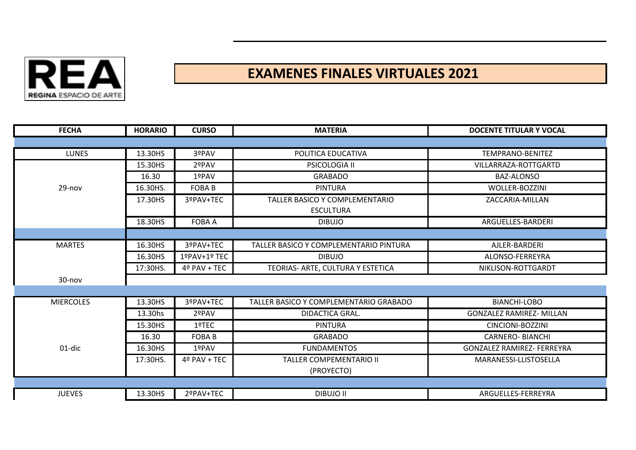

## **EXAMENES FINALES VIRTUALES 2021**

| <b>FECHA</b>     | <b>HORARIO</b> | <b>CURSO</b>  | <b>MATERIA</b>                         | <b>DOCENTE TITULAR Y VOCAL</b>    |
|------------------|----------------|---------------|----------------------------------------|-----------------------------------|
|                  |                |               |                                        |                                   |
| <b>LUNES</b>     | 13.30HS        | 3ºPAV         | POLITICA EDUCATIVA                     | <b>TEMPRANO-BENITEZ</b>           |
|                  | 15.30HS        | 2ºPAV         | PSICOLOGIA II                          | VILLARRAZA-ROTTGARTD              |
|                  | 16.30          | 1ºPAV         | <b>GRABADO</b>                         | BAZ-ALONSO                        |
| 29-nov           | 16.30HS.       | <b>FOBAB</b>  | <b>PINTURA</b>                         | WOLLER-BOZZINI                    |
|                  | 17.30HS        | 3ºPAV+TEC     | TALLER BASICO Y COMPLEMENTARIO         | ZACCARIA-MILLAN                   |
|                  |                |               | <b>ESCULTURA</b>                       |                                   |
|                  | 18.30HS        | <b>FOBA A</b> | <b>DIBUJO</b>                          | ARGUELLES-BARDERI                 |
|                  |                |               |                                        |                                   |
| <b>MARTES</b>    | 16.30HS        | 3ºPAV+TEC     | TALLER BASICO Y COMPLEMENTARIO PINTURA | AJLER-BARDERI                     |
|                  | 16.30HS        | 1ºPAV+1º TEC  | <b>DIBUJO</b>                          | ALONSO-FERREYRA                   |
|                  | 17:30HS.       | 4º PAV + TEC  | TEORIAS- ARTE, CULTURA Y ESTETICA      | NIKLISON-ROTTGARDT                |
| $30 - nov$       |                |               |                                        |                                   |
|                  |                |               |                                        |                                   |
| <b>MIERCOLES</b> | 13.30HS        | 3ºPAV+TEC     | TALLER BASICO Y COMPLEMENTARIO GRABADO | <b>BIANCHI-LOBO</b>               |
|                  | 13.30hs        | 2ºPAV         | DIDACTICA GRAL.                        | <b>GONZALEZ RAMIREZ- MILLAN</b>   |
|                  | 15.30HS        | 1ºTEC         | <b>PINTURA</b>                         | CINCIONI-BOZZINI                  |
|                  | 16.30          | <b>FOBAB</b>  | <b>GRABADO</b>                         | <b>CARNERO- BIANCHI</b>           |
| 01-dic           | 16.30HS        | 1ºPAV         | <b>FUNDAMENTOS</b>                     | <b>GONZALEZ RAMIREZ- FERREYRA</b> |
|                  | 17:30HS.       | 4º PAV + TEC  | TALLER COMPEMENTARIO II                | MARANESSI-LLISTOSELLA             |
|                  |                |               | (PROYECTO)                             |                                   |
|                  |                |               |                                        |                                   |
| <b>JUEVES</b>    | 13.30HS        | 2ºPAV+TEC     | <b>DIBUJO II</b>                       | ARGUELLES-FERREYRA                |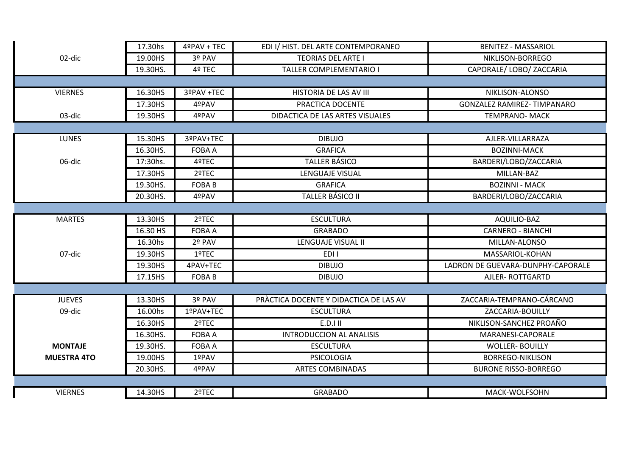|                    | 17.30hs  | 4ºPAV + TEC   | EDI I/ HIST. DEL ARTE CONTEMPORANEO    | <b>BENITEZ - MASSARIOL</b>         |  |  |
|--------------------|----------|---------------|----------------------------------------|------------------------------------|--|--|
| 02-dic             | 19.00HS  | 3º PAV        | <b>TEORIAS DEL ARTE I</b>              | NIKLISON-BORREGO                   |  |  |
|                    | 19.30HS. | 4º TEC        | <b>TALLER COMPLEMENTARIO I</b>         | CAPORALE/ LOBO/ ZACCARIA           |  |  |
|                    |          |               |                                        |                                    |  |  |
| <b>VIERNES</b>     | 16.30HS  | 3ºPAV +TEC    | HISTORIA DE LAS AV III                 | NIKLISON-ALONSO                    |  |  |
|                    | 17.30HS  | 4ºPAV         | PRACTICA DOCENTE                       | <b>GONZALEZ RAMIREZ- TIMPANARO</b> |  |  |
| 03-dic             | 19.30HS  | 4ºPAV         | DIDACTICA DE LAS ARTES VISUALES        | <b>TEMPRANO- MACK</b>              |  |  |
|                    |          |               |                                        |                                    |  |  |
| <b>LUNES</b>       | 15.30HS  | 3ºPAV+TEC     | <b>DIBUJO</b>                          | AJLER-VILLARRAZA                   |  |  |
|                    | 16.30HS. | <b>FOBA A</b> | <b>GRAFICA</b>                         | <b>BOZINNI-MACK</b>                |  |  |
| 06-dic             | 17:30hs. | 4ºTEC         | <b>TALLER BÁSICO</b>                   | BARDERI/LOBO/ZACCARIA              |  |  |
|                    | 17.30HS  | 2ºTEC         | LENGUAJE VISUAL                        | MILLAN-BAZ                         |  |  |
|                    | 19.30HS. | <b>FOBAB</b>  | <b>GRAFICA</b>                         | <b>BOZINNI - MACK</b>              |  |  |
|                    | 20.30HS. | 4ºPAV         | TALLER BÁSICO II                       | BARDERI/LOBO/ZACCARIA              |  |  |
|                    |          |               |                                        |                                    |  |  |
| <b>MARTES</b>      | 13.30HS  | 2ºTEC         | <b>ESCULTURA</b>                       | AQUILIO-BAZ                        |  |  |
|                    | 16.30 HS | <b>FOBA A</b> | <b>GRABADO</b>                         | <b>CARNERO - BIANCHI</b>           |  |  |
|                    | 16.30hs  | 2º PAV        | LENGUAJE VISUAL II                     | MILLAN-ALONSO                      |  |  |
| 07-dic             | 19.30HS  | 1ºTEC         | EDI I                                  | MASSARIOL-KOHAN                    |  |  |
|                    | 19.30HS  | 4PAV+TEC      | <b>DIBUJO</b>                          | LADRON DE GUEVARA-DUNPHY-CAPORALE  |  |  |
|                    | 17.15HS  | <b>FOBAB</b>  | <b>DIBUJO</b>                          | AJLER-ROTTGARTD                    |  |  |
|                    |          |               |                                        |                                    |  |  |
| <b>JUEVES</b>      | 13.30HS  | 3º PAV        | PRÀCTICA DOCENTE Y DIDACTICA DE LAS AV | ZACCARIA-TEMPRANO-CÁRCANO          |  |  |
| 09-dic             | 16.00hs  | 1ºPAV+TEC     | <b>ESCULTURA</b>                       | ZACCARIA-BOUILLY                   |  |  |
|                    | 16.30HS  | 2ºTEC         | E.D.I II                               | NIKLISON-SANCHEZ PROAÑO            |  |  |
|                    | 16.30HS. | <b>FOBA A</b> | <b>INTRODUCCION AL ANALISIS</b>        | MARANESI-CAPORALE                  |  |  |
| <b>MONTAJE</b>     | 19.30HS. | <b>FOBA A</b> | <b>ESCULTURA</b>                       | <b>WOLLER- BOUILLY</b>             |  |  |
| <b>MUESTRA 4TO</b> | 19.00HS  | 1ºPAV         | <b>PSICOLOGIA</b>                      | <b>BORREGO-NIKLISON</b>            |  |  |
|                    | 20.30HS. | 4ºPAV         | <b>ARTES COMBINADAS</b>                | <b>BURONE RISSO-BORREGO</b>        |  |  |
|                    |          |               |                                        |                                    |  |  |
| <b>VIERNES</b>     | 14.30HS  | 2ºTEC         | <b>GRABADO</b>                         | MACK-WOLFSOHN                      |  |  |